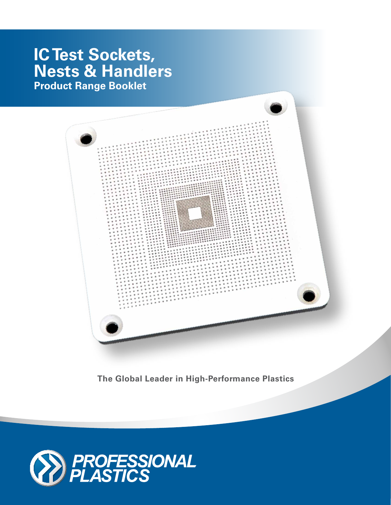# **IC Test Sockets, Nests & Handlers Product Range Booklet**



**The Global Leader in High-Performance Plastics**

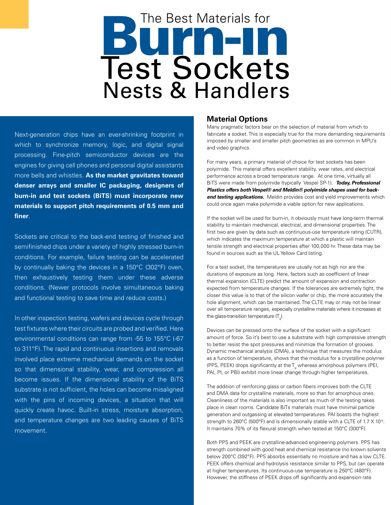# **Burn-independent of the Superior** The Best Materials for Test Sockets Nests & Handlers

Next-generation chips have an ever-shrinking footprint in which to synchronize memory, logic, and digital signal processing. Fine-pitch semiconductor devices are the engines for giving cell phones and personal digital assistants more bells and whistles. **As the market gravitates toward denser arrays and smaller IC packaging, designers of burn-in and test sockets (BiTS) must incorporate new materials to support pitch requirements of 0.5 mm and finer**.

Sockets are critical to the back-end testing of finished and semifinished chips under a variety of highly stressed burn-in conditions. For example, failure testing can be accelerated by continually baking the devices in a 150°C (302°F) oven, then exhaustively testing them under these adverse conditions. (Newer protocols involve simultaneous baking and functional testing to save time and reduce costs.)

In other inspection testing, wafers and devices cycle through test fixtures where their circuits are probed and verified. Here environmental conditions can range from -55 to 155°C (-67 to 311°F). The rapid and continuous insertions and removals involved place extreme mechanical demands on the socket so that dimensional stability, wear, and compression all become issues. If the dimensional stability of the BiTS substrate is not sufficient, the holes can become misaligned with the pins of incoming devices, a situation that will quickly create havoc. Built-in stress, moisture absorption, and temperature changes are two leading causes of BiTS movement.

#### **Material Options**

Many pragmatic factors bear on the selection of material from which to fabricate a socket. This is especially true for the more demanding requirements imposed by smaller and smaller pitch geometries as are common in MPU's and video graphics.

For many years, a primary material of choice for test sockets has been polyimide. This material offers excellent stability, wear rates, and electrical performance across a broad temperature range. At one time, virtually all BiTS were made from polyimide (typically Vespel SP-1). *Today, Professional Plastics offers both Vespel® and Meldin® polyimide shapes used for back***end testing applications.** Meldin provides cost and yield improvements which could once again make polyimide a viable option for new applications.

If the socket will be used for burn-in, it obviously must have long-term thermal stability to maintain mechanical, electrical, and dimensional properties. The first two are given by data such as continuous-use temperature rating (CUTR), which indicates the maximum temperature at which a plastic will maintain tensile strength and electrical properties after 100,000 hr. These data may be found in sources such as the UL Yellow Card listing.

For a test socket, the temperatures are usually not as high nor are the durations of exposure as long. Here, factors such as coefficient of linear thermal expansion (CLTE) predict the amount of expansion and contraction expected from temperature changes. If the tolerances are extremely tight, the closer this value is to that of the silicon wafer or chip, the more accurately the hole alignment, which can be maintained. The CLTE may or may not be linear over all temperature ranges, especially crystalline materials where it increases at the glass-transition temperature (T $_{\rm g}$ ).

Devices can be pressed onto the surface of the socket with a significant amount of force. So it's best to use a substrate with high compressive strength to better resist the spot pressures and minimize the formation of grooves. Dynamic mechanical analysis (DMA), a technique that measures the modulus as a function of temperature, shows that the modulus for a crystalline polymer (PPS, PEEK) drops significantly at the  $T_g$  whereas amorphous polymers (PEI, PAI, PI, or PBI) exhibit more linear change through higher temperatures.

The addition of reinforcing glass or carbon fibers improves both the CLTE and DMA data for crystalline materials, more so than for amorphous ones. Cleanliness of the materials is also important as much of the testing takes place in clean rooms. Candidate BiTs materials must have minimal particle generation and outgassing at elevated temperatures. PAI boasts the highest strength to 260°C (500°F) and is dimensionally stable with a CLTE of 1.7 X 10<sup>-5</sup>. It maintains 70% of its flexural strength when tested at 150°C (300°F).

Both PPS and PEEK are crystalline-advanced engineering polymers. PPS has strength combined with good heat and chemical resistance (no known solvents below 200°C (392°F). PPS absorbs essentially no moisture and has a low CLTE. PEEK offers chemical and hydrolysis resistance similar to PPS, but can operate at higher temperatures. Its continuous-use temperature is 250°C (480°F). However, the stiffness of PEEK drops off significantly and expansion rate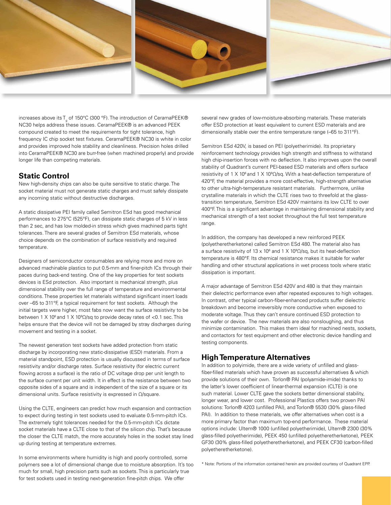





increases above its T<sub>g</sub> of 150°C (300 °F). The introduction of CeramaPEEK® NC30 helps address these issues. CeramaPEEK® is an advanced PEEK compound created to meet the requirements for tight tolerance, high frequency IC chip socket test fixtures. CeramaPEEK® NC30 is white in color and provides improved hole stability and cleanliness. Precision holes drilled into CeramaPEEK® NC30 are burr-free (when machined properly) and provide longer life than competing materials.

#### **Static Control**

New high-density chips can also be quite sensitive to static charge. The socket material must not generate static charges and must safely dissipate any incoming static without destructive discharges.

A static dissipative PEI family called Semitron ESd has good mechanical performances to 275°C (525°F), can dissipate static charges of 5 kV in less than 2 sec, and has low molded-in stress which gives machined parts tight tolerances. There are several grades of Semitron ESd materials, whose choice depends on the combination of surface resistivity and required temperature.

Designers of semiconductor consumables are relying more and more on advanced machinable plastics to put 0.5-mm and finer-pitch ICs through their paces during back-end testing. One of the key properties for test sockets devices is ESd protection. Also important is mechanical strength, plus dimensional stability over the full range of temperature and environmental conditions. These properties let materials withstand significant insert loads over –65 to 311°F, a typical requirement for test sockets. Although the initial targets were higher, most fabs now want the surface resistivity to be between 1 X 10 $^{\circ}$  and 1 X 10 $^{\circ}$ Ω/sq to provide decay rates of <0.1 sec. This helps ensure that the device will not be damaged by stray discharges during movement and testing in a socket.

The newest generation test sockets have added protection from static discharge by incorporating new static-dissipative (ESD) materials. From a material standpoint, ESD protection is usually discussed in terms of surface resistivity and/or discharge rates. Surface resistivity (for electric current flowing across a surface) is the ratio of DC voltage drop per unit length to the surface current per unit width. It in effect is the resistance between two opposite sides of a square and is independent of the size of a square or its dimensional units. Surface resistivity is expressed in Ω/square.

Using the CLTE, engineers can predict how much expansion and contraction to expect during testing in test sockets used to evaluate 0.5-mm-pitch ICs. The extremely tight tolerances needed for the 0.5-mm-pitch ICs dictate socket materials have a CLTE close to that of the silicon chip. That's because the closer the CLTE match, the more accurately holes in the socket stay lined up during testing at temperature extremes.

In some environments where humidity is high and poorly controlled, some polymers see a lot of dimensional change due to moisture absorption. It's too much for small, high precision parts such as sockets. This is particularly true for test sockets used in testing next-generation fine-pitch chips. We offer

several new grades of low-moisture-absorbing materials. These materials offer ESD protection at least equivalent to current ESD materials and are dimensionally stable over the entire temperature range (–65 to 311°F).

Semitron ESd 420V, is based on PEI (polyetherimide). Its proprietary reinforcement technology provides high strength and stiffness to withstand high chip-insertion forces with no deflection. It also improves upon the overall stability of Quadrant's current PEI-based ESD materials and offers surface resistivity of 1 X 10 $^6$  and 1 X 10 $^9$  $\Omega$ /sq. With a heat-deflection temperature of 420°F, the material provides a more cost-effective, high-strength alternative to other ultra-high-temperature resistant materials. Furthermore, unlike crystalline materials in which the CLTE rises two to threefold at the glasstransition temperature, Semitron ESd 420V maintains its low CLTE to over 400°F. This is a significant advantage in maintaining dimensional stability and mechanical strength of a test socket throughout the full test temperature range.

In addition, the company has developed a new reinforced PEEK (polyetheretherketone) called Semitron ESd 480. The material also has a surface resistivity of 13 x 10 $^6$  and 1 X 10 $^9$  $\Omega$ /sq, but its heat-deflection temperature is 480°F. Its chemical resistance makes it suitable for wafer handling and other structural applications in wet process tools where static dissipation is important.

A major advantage of Semitron ESd 420V and 480 is that they maintain their dielectric performance even after repeated exposures to high voltages. In contrast, other typical carbon-fiber-enhanced products suffer dielectric breakdown and become irreversibly more conductive when exposed to moderate voltage. Thus they can't ensure continued ESD protection to the wafer or device. The new materials are also nonsloughing, and thus minimize contamination. This makes them ideal for machined nests, sockets, and contactors for test equipment and other electronic device handling and testing components.

#### **High Temperature Alternatives**

In addition to polyimide, there are a wide variety of unfilled and glassfiber-filled materials which have proven as successful alternatives & which provide solutions of their own. Torlon® PAI (polyamide-imide) thanks to the latter's lower coefficient of linear-thermal expansion (CLTE) is one such material. Lower CLTE gave the sockets better dimensional stability, longer wear, and lower cost. Professional Plastics offers two proven PAI solutions: Torlon® 4203 (unfilled PAI), and Torlon® 5530 (30% glass-filled PAI). In addition to these materials, we offer alternatives when cost is a more primary factor than maximum top-end performance. These material options include: Ultem® 1000 (unfilled polyetherimide), Ultem® 2300 (30% glass-filled polyetherimide), PEEK 450 (unfilled polyetheretherketone), PEEK GF30 (30% glass-filled polyetheretherketone), and PEEK CF30 (carbon-filled polyetheretherketone).

\* Note: Portions of the information contained herein are provided courtesy of Quadrant EPP.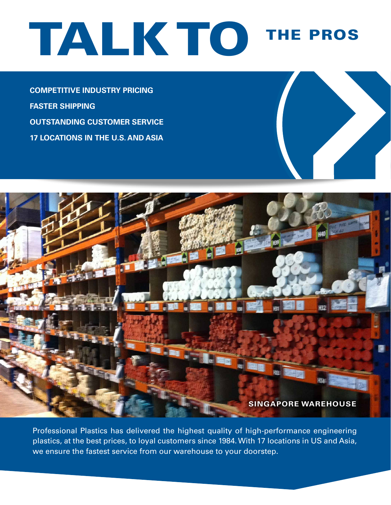# TALK TO THE PROS

**Competitive Industry Pricing Faster Shipping Outstanding Customer Service 17 Locations in the U.S. and Asia**



Professional Plastics has delivered the highest quality of high-performance engineering plastics, at the best prices, to loyal customers since 1984. With 17 locations in US and Asia, we ensure the fastest service from our warehouse to your doorstep.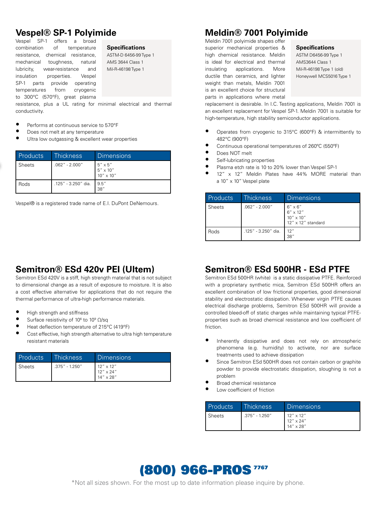# **Vespel® SP-1 Polyimide**

Vespel SP-1 offers a broad combination of temperature resistance, chemical resistance, mechanical toughness, natural lubricity, wear-resistance and insulation properties. Vespel SP-1 parts provide operating temperatures from cryogenic to 300°C (570°F), great plasma

#### **Specifications**

ASTM-D 6456-99 Type 1 AMS 3644 Class 1 Mil-R-46198 Type 1

resistance, plus a UL rating for minimal electrical and thermal conductivity.

- Performs at continuous service to 570°F
- Does not melt at any temperature
- Ultra low outgassing & excellent wear properties

| <b>Products</b> | Thickness           | <b>Dimensions</b>                                           |
|-----------------|---------------------|-------------------------------------------------------------|
| Sheets          | $.062" - 2.000"$    | $5'' \times 5''$<br>$5'' \times 10''$<br>$10'' \times 10''$ |
| Rods            | .125" - 3.250" dia. | 9.5''<br>38''                                               |

Vespel® is a registered trade name of E.I. DuPont DeNemours.

# **Semitron® ESd 420v PEI (Ultem)**

Semitron ESd 420V is a stiff, high strength material that is not subject to dimensional change as a result of exposure to moisture. It is also a cost effective alternative for applications that do not require the thermal performance of ultra-high performance materials.

- High strength and stiffness
- Surface resistivity of  $10^6$  to  $10^9$   $\Omega$ /sq
- Heat deflection temperature of 215°C (419°F)<br>Cost offective, bigh strength elternative to ultra
- Cost effective, high strength alternative to ultra high temperature resistant materials

| <b>Products</b> | <b>Thickness</b> | Dimensions                                                     |
|-----------------|------------------|----------------------------------------------------------------|
| Sheets          | .375" - 1.250"   | $12'' \times 12''$<br>$12'' \times 24''$<br>$14'' \times 28''$ |

# **Meldin® 7001 Polyimide**

Meldin 7001 polyimide shapes offer superior mechanical properties & high chemical resistance. Meldin is ideal for electrical and thermal insulating applications. More ductile than ceramics, and lighter weight than metals, Meldin 7001 is an excellent choice for structural parts in applications where metal

#### **Specifications**

ASTM D6456-99 Type 1 AMS3644 Class 1 Mil-R-46198 Type 1 (old) Honeywell MCS5016 Type 1

replacement is desirable. In I.C. Testing applications, Meldin 7001 is an excellent replacement for Vespel SP-1. Meldin 7001 is suitable for high-temperature, high stability semiconductor applications.

- Operates from cryogenic to 315°C (600°F) & intermittently to 482°C (900°F)
- Continuous operational temperatures of 260°C (550°F)
- Does NOT melt
- Self-lubricating properties
- Plasma etch rate is 10 to 20% lower than Vespel SP-1
- 12" x 12" Meldin Plates have 44% MORE material than a 10" x 10" Vespel plate

| Products      | <b>Thickness</b>    | Dimensions                                                                               |
|---------------|---------------------|------------------------------------------------------------------------------------------|
| <b>Sheets</b> | $.062" - 2.000"$    | $6'' \times 6''$<br>$6''\times12''$<br>$10'' \times 10''$<br>$12'' \times 12''$ standard |
| Rods          | .125" - 3.250" dia. | 12"<br>38''                                                                              |

# **Semitron® ESd 500HR - ESd PTFE**

Semitron ESd 500HR (white) is a static dissipative PTFE. Reinforced with a proprietary synthetic mica, Semitron ESd 500HR offers an excellent combination of low frictional properties, good dimensional stability and electrostatic dissipation. Whenever virgin PTFE causes electrical discharge problems, Semitron ESd 500HR will provide a controlled bleed-off of static charges while maintaining typical PTFEproperties such as broad chemical resistance and low coefficient of friction.

- Inherently dissipative and does not rely on atmospheric phenomena (e.g. humidity) to activate, nor are surface treatments used to achieve dissipation
- Since Semitron ESd 500HR does not contain carbon or graphite powder to provide electrostatic dissipation, sloughing is not a problem
- Broad chemical resistance
- Low coefficient of friction

| <b>Products</b> | <b>Thickness</b> | Dimensions                                                  |
|-----------------|------------------|-------------------------------------------------------------|
| Sheets          | .375" - 1.250"   | $12''$ x $12''$<br>$12'' \times 24''$<br>$14'' \times 28''$ |

# (800) 966-PROS<sup>7767</sup>

\*Not all sizes shown. For the most up to date information please inquire by phone.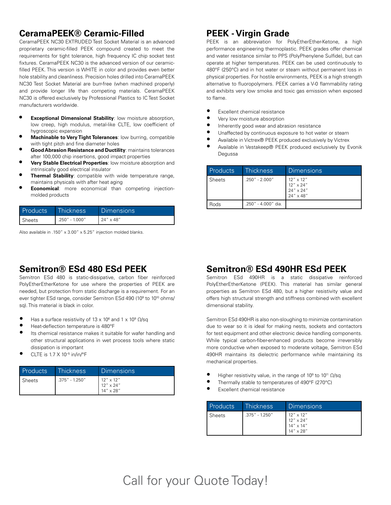# **CeramaPEEK® Ceramic-Filled**

CeramaPEEK NC30 EXTRUDED Test Socket Material is an advanced proprietary ceramic-filled PEEK compound created to meet the requirements for tight tolerance, high frequency IC chip socket test fixtures. CeramaPEEK NC30 is the advanced version of our ceramicfilled PEEK. This version is WHITE in color and provides even better hole stability and cleanliness. Precision holes drilled into CeramaPEEK NC30 Test Socket Material are burr-free (when machined properly) and provide longer life than competing materials. CeramaPEEK NC30 is offered exclusively by Professional Plastics to IC Test Socket manufacturers worldwide.

- **Exceptional Dimensional Stability: low moisture absorption,** low creep, high modulus, metal-like CLTE, low coefficient of hygroscopic expansion
- **• Machinable to Very Tight Tolerances**: low burring, compatible with tight pitch and fine diameter holes
- **• Good Abrasion Resistance and Ductility**: maintains tolerances after 100,000 chip insertions, good impact properties
- **• Very Stable Electrical Properties**: low moisture absorption and intrinsically good electrical insulator
- **• Thermal Stability**: compatible with wide temperature range, maintains physicals with after heat aging
- **Economical:** more economical than competing injectionmolded products

| Products | Thickness      | Dimensions          |
|----------|----------------|---------------------|
| Sheets   | .250" - 1.000" | $124'' \times 48''$ |

Also available in .150" x 3.00" x 5.25" injection molded blanks.

# **PEEK - Virgin Grade**

PEEK is an abbreviation for PolyEtherEther-Ketone, a high performance engineering thermoplastic. PEEK grades offer chemical and water resistance similar to PPS (PolyPhenylene Sulfide), but can operate at higher temperatures. PEEK can be used continuously to 480°F (250°C) and in hot water or steam without permanent loss in physical properties. For hostile environments, PEEK is a high strength alternative to fluoropolymers. PEEK carries a V-0 flammability rating and exhibits very low smoke and toxic gas emission when exposed to flame.

- Excellent chemical resistance
- Very low moisture absorption
- Inherently good wear and abrasion resistance
- Unaffected by continuous exposure to hot water or steam
- Available in Victrex® PEEK produced exclusively by Victrex
- Available in Vestakeep® PEEK produced exclusively by Evonik Degussa

| Products | Thickness           | <b>Dimensions</b>                                                        |
|----------|---------------------|--------------------------------------------------------------------------|
| Sheets   | $.250" - 2.000"$    | $12''$ x $12''$<br>$12'' \times 24''$<br>$24'' \times 24''$<br>24" x 48" |
| Rods     | .250" - 4.000" dia. |                                                                          |

# **Semitron® ESd 480 ESd PEEK**

Semitron ESd 480 is static-dissipative, carbon fiber reinforced PolyEtherEtherKetone for use where the properties of PEEK are needed, but protection from static discharge is a requirement. For an ever tighter ESd range, consider Semitron ESd 490 (10º to 10<sup>10</sup> ohms/ sq). This material is black in color.

- Has a surface resistivity of  $13 \times 10^6$  and  $1 \times 10^9$   $\Omega$ /sq
- Heat-deflection temperature is 480°F
- Its chemical resistance makes it suitable for wafer handling and other structural applications in wet process tools where static dissipation is important
- CLTE is 1.7 X 10–5 in/in/°F

| <b>Products</b> | Thickness        | Dimensions                                            |
|-----------------|------------------|-------------------------------------------------------|
| Sheets          | $.375" - 1.250"$ | $12'' \times 12''$<br>12" x 24"<br>$14'' \times 28''$ |

# **Semitron® ESd 490HR ESd PEEK**

Semitron ESd 490HR is a static dissipative reinforced PolyEtherEtherKetone (PEEK). This material has similar general properties as Semitron ESd 480, but a higher resistivity value and offers high structural strength and stiffness combined with excellent dimensional stability.

Semitron ESd 490HR is also non-sloughing to minimize contamination due to wear so it is ideal for making nests, sockets and contactors for test equipment and other electronic device handling components. While typical carbon-fiber-enhanced products become irreversibly more conductive when exposed to moderate voltage, Semitron ESd 490HR maintains its dielectric performance while maintaining its mechanical properties.

- Higher resistivity value, in the range of 10<sup>9</sup> to 10<sup>11</sup>  $\Omega$ /sq
- Thermally stable to temperatures of 490°F (270°C)
- Excellent chemical resistance

| <b>Products</b> | Thickness,     | <b>Dimensions</b>                                                           |
|-----------------|----------------|-----------------------------------------------------------------------------|
| <b>Sheets</b>   | .375" - 1.250" | $12'' \times 12''$<br>$12'' \times 24''$<br>14" x 14"<br>$14'' \times 28''$ |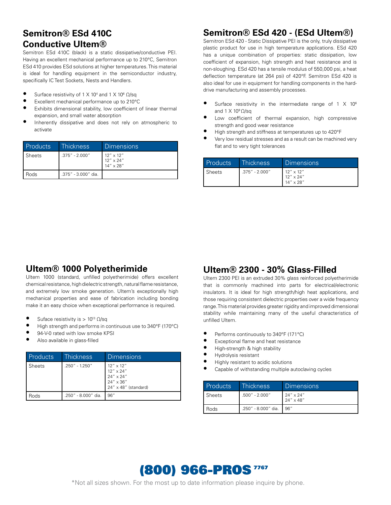# **Semitron® ESd 410C Conductive Ultem®**

Semitron ESd 410C (black) is a static dissipative/conductive PEI. Having an excellent mechanical performance up to 210°C, Semitron ESd 410 provides ESd solutions at higher temperatures. This material is ideal for handling equipment in the semiconductor industry, specifically IC Test Sockets, Nests and Handlers.

- Surface resistivity of  $1 \times 10^4$  and  $1 \times 10^6$   $\Omega$ /sq
- Excellent mechanical performance up to 210°C
- Exhibits dimensional stability, low coefficient of linear thermal expansion, and small water absorption
- Inherently dissipative and does not rely on atmospheric to activate

| <b>Products</b> | <b>Thickness</b>    | <b>Dimensions</b>                                              |
|-----------------|---------------------|----------------------------------------------------------------|
| Sheets          | .375" - 2.000"      | $12'' \times 12''$<br>$12'' \times 24''$<br>$14'' \times 28''$ |
| Rods            | .375" - 3.000" dia. |                                                                |

# **Semitron® ESd 420 - (ESd Ultem®)**

Semitron ESd 420 - Static Dissipative PEI is the only, truly dissipative plastic product for use in high temperature applications. ESd 420 has a unique combination of properties: static dissipation, low coefficient of expansion, high strength and heat resistance and is non-sloughing. ESd 420 has a tensile modulus of 550,000 psi, a heat deflection temperature (at 264 psi) of 420°F. Semitron ESd 420 is also ideal for use in equipment for handling components in the harddrive manufacturing and assembly processes.

- Surface resistivity in the intermediate range of  $1 \times 10^6$ and  $1 \times 10^9 \Omega$ /sq
- Low coefficient of thermal expansion, high compressive strength and good wear resistance
- High strength and stiffness at temperatures up to 420°F
- Very low residual stresses and as a result can be machined very flat and to very tight tolerances

| Products      | Thickness        | Dimensions                                                     |
|---------------|------------------|----------------------------------------------------------------|
| <b>Sheets</b> | $.375" - 2.000"$ | $12'' \times 12''$<br>$12'' \times 24''$<br>$14'' \times 28''$ |

# **Ultem® 1000 Polyetherimide**

Ultem 1000 (standard, unfilled polyetherimide) offers excellent chemical resistance, high dielectric strength, natural flame resistance, and extremely low smoke generation. Ultem's exceptionally high mechanical properties and ease of fabrication including bonding make it an easy choice when exceptional performance is required.

- Suface resistivity is >  $10^{13}$  Ω/sq
- High strength and performs in continuous use to 340°F (170°C)
- 94-V-0 rated with low smoke KPSI
- Also available in glass-filled

| Products | <b>Thickness</b>    | Dimensions                                                                                                |
|----------|---------------------|-----------------------------------------------------------------------------------------------------------|
| Sheets   | .250" - 1.250"      | $12''$ x $12''$<br>$12'' \times 24''$<br>$24'' \times 24''$<br>24" x 36"<br>$24'' \times 48''$ (standard) |
| lods     | .250" - 8.000" dia. | 96"                                                                                                       |

# **Ultem® 2300 - 30% Glass-Filled**

Ultem 2300 PEI is an extruded 30% glass reinforced polyetherimide that is commonly machined into parts for electrical/electronic insulators. It is ideal for high strength/high heat applications, and those requiring consistent dielectric properties over a wide frequency range. This material provides greater rigidity and improved dimensional stability while maintaining many of the useful characteristics of unfilled Ultem.

- Performs continuously to 340°F (171°C)
- Exceptional flame and heat resistance
- High-strength & high stability
- Hydrolysis resistant
- Highly resistant to acidic solutions
- Capable of withstanding multiple autoclaving cycles

| Products | Thickness           | Dimensions                               |
|----------|---------------------|------------------------------------------|
| Sheets   | $.500'' - 2.000''$  | $24'' \times 24''$<br>$24'' \times 48''$ |
| l Rods   | .250" - 8.000" dia. | 96″                                      |

# (800) 966-PROS<sup>7767</sup>

\*Not all sizes shown. For the most up to date information please inquire by phone.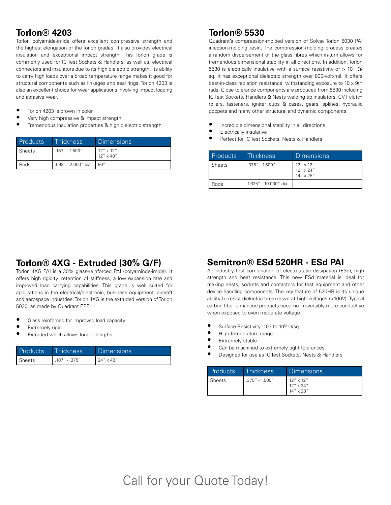# **Torlon® 4203**

Torlon polyamide-imide offers excellent compressive strength and the highest elongation of the Torlon grades. It also provides electrical insulation and exceptional impact strength. This Torlon grade is commonly used for IC Test Sockets & Handlers, as well as, electrical connectors and insulators due to its high dielectric strength. Its ability to carry high loads over a broad temperature range makes it good for structural components such as linkages and seal rings. Torlon 4203 is also an excellent choice for wear applications involving impact loading and abrasive wear.

- Torlon 4203 is brown in color
- Very high compressive & impact strength
- Tremendous insulation properties & high dielectric strength

| <b>Products</b> | Thickness,          | Dimensions                               |
|-----------------|---------------------|------------------------------------------|
| Sheets          | $.187'' - 1.500''$  | $12'' \times 12''$<br>$12'' \times 48''$ |
| Rods            | .093" - 2.000" dia. | 96"                                      |

# **Torlon® 5530**

Quadrant's compression-molded version of Solvay Torlon 5030 PAI injection-molding resin. The compression-molding process creates a random dispersement of the glass fibres which in-turn allows for tremendous dimensional stability in all directions. In addition, Torlon 5530 is electrically insulative with a surface resistivity of >  $10^{13}$  Ω/ sq. It has exceptional dielectric strength over 800-volt/mil. It offers best-in-class radiation resistance, withstanding exposure to 10 x 9th rads. Close tolerance components are produced from 5530 including IC Test Sockets, Handlers & Nests welding tip insulators, CVT clutch rollers, fasteners, igniter cups & cases, gears, splines, hydraulic poppets and many other structural and dynamic components.

- Incredible dimensional stability in all directions
- **Electrically insulative**
- Perfect for IC Test Sockets, Nests & Handlers

| Products | <b>Thickness</b>      | <b>Dimensions</b>                                              |
|----------|-----------------------|----------------------------------------------------------------|
| Sheets   | $.375" - 1.500"$      | $12'' \times 12''$<br>$12'' \times 24''$<br>$14'' \times 28''$ |
| Rods     | 1.625" - 10.000" dia. |                                                                |

# **Torlon® 4XG - Extruded (30% G/F)**

Torlon 4XG PAI is a 30% glass-reinforced PAI (polyaminde-imide). It offers high rigidity, retention of stiffness, a low expansion rate and improved load carrying capabilities. This grade is well suited for applications in the electrical/electronic, business equipment, aircraft and aerospace industries. Torlon 4XG is the extruded version of Torlon 5030, as made by Quadrant EPP.

- Glass reinforced for improved load capacity
- Extremely rigid
- Extruded which allows longer lengths

| <b>Products</b> | <b>Thickness</b> | <b>Dimensions</b>  |
|-----------------|------------------|--------------------|
| ' Sheets        | .187" - .375"    | $24'' \times 48''$ |

# **Semitron® ESd 520HR - ESd PAI**

An industry first combination of electrostatic dissipation (ESd), high strength and heat resistance. This new ESd material is ideal for making nests, sockets and contactors for test equipment and other device handling components. The key feature of 520HR is its unique ability to resist dielectric breakdown at high voltages (>100V). Typical carbon fiber enhanced products become irreversibly more conductive when exposed to even moderate voltage.

- Surface Resistivity: 10<sup>10</sup> to 10<sup>12</sup>  $\Omega$ /sq<br>• High tomperature range
- High temperature range
- **•** Extremely stable
- Can be machined to extremely tight tolerances.
- Designed for use as IC Test Sockets, Nests & Handlers

| Products | Thickness.       | Dimensions                                                     |
|----------|------------------|----------------------------------------------------------------|
| Sheets   | $.375"$ - 1.500" | $12'' \times 12''$<br>$12'' \times 24''$<br>$14'' \times 28''$ |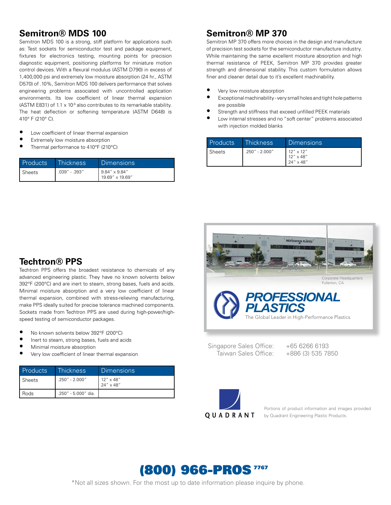#### **Semitron® MDS 100**

Semitron MDS 100 is a strong, stiff platform for applications such as: Test sockets for semiconductor test and package equipment, fixtures for electronics testing, mounting points for precision diagnostic equipment, positioning platforms for miniature motion control devices. With a flexural modulus (ASTM D790) in excess of 1,400,000 psi and extremely low moisture absorption (24 hr., ASTM D570) of .10%, Semitron MDS 100 delivers performance that solves engineering problems associated with uncontrolled application environments. Its low coefficient of linear thermal expansion (ASTM E831) of 1.1  $\times$  10<sup>-5</sup> also contributes to its remarkable stability. The heat deflection or softening temperature (ASTM D648) is 410° F (210° C).

- Low coefficient of linear thermal expansion
- Extremely low moisture absorption
- Thermal performance to 410°F (210°C)

| Products | Thickness         | Dimensions                                          |
|----------|-------------------|-----------------------------------------------------|
| Sheets   | $.039'' - .393''$ | $19.84'' \times 9.84''$<br>$19.69'' \times 19.69''$ |

#### **Semitron® MP 370**

Semitron MP 370 offers more choices in the design and manufacture of precision test sockets for the semiconductor manufacture industry. While maintaining the same excellent moisture absorption and high thermal resistance of PEEK, Semitron MP 370 provides greater strength and dimensional stability. This custom formulation allows finer and cleaner detail due to it's excellent machinability.

- Very low moisture absorption
- Exceptional machinability very small holes and tight hole patterns are possible
- Strength and stiffness that exceed unfilled PEEK materials
- Low internal stresses and no "soft center" problems associated with injection molded blanks

| <b>Products</b> | Thickness,         | Dimensions                                                     |
|-----------------|--------------------|----------------------------------------------------------------|
| <b>Sheets</b>   | $.250'' - 2.000''$ | $12'' \times 12''$<br>$12'' \times 48''$<br>$24'' \times 48''$ |



Singapore Sales Office: Taiwan Sales Office:

+65 6266 6193 +886 (3) 535 7850



Portions of product information and images provided by Quadrant Engineering Plastic Products.

# (800) 966-PROS<sup>7767</sup>

\*Not all sizes shown. For the most up to date information please inquire by phone.

# **Techtron® PPS**

Techtron PPS offers the broadest resistance to chemicals of any advanced engineering plastic. They have no known solvents below 392°F (200°C) and are inert to steam, strong bases, fuels and acids. Minimal moisture absorption and a very low coefficient of linear thermal expansion, combined with stress-relieving manufacturing, make PPS ideally suited for precise tolerance machined components. Sockets made from Techtron PPS are used during high-power/highspeed testing of semiconductor packages.

- No known solvents below 392°F (200°C)
- Inert to steam, strong bases, fuels and acids
- Minimal moisture absorption
- Very low coefficient of linear thermal expansion

| <b>Products</b> | Thickness           | Dimensions                 |
|-----------------|---------------------|----------------------------|
| <b>Sheets</b>   | $.250" - 2.000"$    | 12" x 48"<br>$'$ 24" x 48" |
| Rods            | .250" - 5.000" dia. |                            |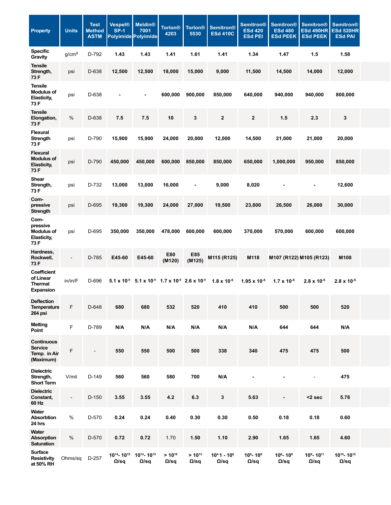| <b>Property</b>                                              | <b>Units</b>      | <b>Test</b><br>Method<br><b>ASTM</b> | <b>Vespel®</b><br><b>SP-1</b> | <b>Meldin®</b><br>7001<br><b>Polyimide Polyimide</b>                                          | <b>Torlon<sup>®</sup></b><br>4203 |                             | Torlon <sup>®</sup> Semitron <sup>®</sup><br>5530 ESd 410C | <b>Semitron®</b><br><b>ESd 420</b><br><b>ESd PEI</b> | ∣ Semitron®<br><b>ESd 480</b>                                                                                                                                                                                         | Semitron <sup>®</sup><br><b>ESd 490HR ESd 520HR</b><br><b>ESd PEEK   ESd PEEK  </b> | <b>Semitron®</b><br><b>ESd PAI</b>                 |
|--------------------------------------------------------------|-------------------|--------------------------------------|-------------------------------|-----------------------------------------------------------------------------------------------|-----------------------------------|-----------------------------|------------------------------------------------------------|------------------------------------------------------|-----------------------------------------------------------------------------------------------------------------------------------------------------------------------------------------------------------------------|-------------------------------------------------------------------------------------|----------------------------------------------------|
| Specific<br>Gravity                                          | g/cm <sup>3</sup> | D-792                                | 1.43                          | 1.43                                                                                          | 1.41                              | 1.61                        | 1.41                                                       | 1.34                                                 | 1.47                                                                                                                                                                                                                  | 1.5                                                                                 | 1.58                                               |
| <b>Tensile</b><br>Strength,<br>73 F                          | psi               | D-638                                | 12,500                        | 12,500                                                                                        | 18,000                            | 15,000                      | 9,000                                                      | 11,500                                               | 14,500                                                                                                                                                                                                                | 14,000                                                                              | 12,000                                             |
| <b>Tensile</b><br><b>Modulus of</b><br>Elasticity,<br>73 F   | psi               | D-638                                | $\sim$ $-$                    | $\overline{\phantom{a}}$                                                                      | 600,000                           | 900,000                     | 850,000                                                    | 640,000                                              | 940,000                                                                                                                                                                                                               | 940,000                                                                             | 800,000                                            |
| <b>Tensile</b><br>Elongation,                                | %                 | D-638                                | 7.5                           | 7.5                                                                                           | 10                                | $\mathbf{3}$                | $\overline{\mathbf{2}}$                                    | $\overline{2}$                                       | 1.5                                                                                                                                                                                                                   | 2.3                                                                                 | $\mathbf{3}$                                       |
| 73 F<br><b>Flexural</b><br>Strength                          | psi               | D-790                                | 15,900                        | 15,900                                                                                        | 24,000                            | 20,000                      | 12,000                                                     | 14,500                                               | 21,000                                                                                                                                                                                                                | 21,000                                                                              | 20,000                                             |
| 73 F<br><b>Flexural</b><br><b>Modulus of</b><br>Elasticity,  | psi               | D-790                                | 450,000                       | 450,000                                                                                       |                                   | 600,000 850,000             | 850,000                                                    | 650,000                                              | 1,000,000                                                                                                                                                                                                             | 950,000                                                                             | 850,000                                            |
| 73 F<br>Shear<br>Strength,<br>73 F                           | psi               | D-732                                | 13,000                        | 13,000                                                                                        | 16,000                            | $\sim$                      | 9,000                                                      | 8,020                                                | $\sim$                                                                                                                                                                                                                | $\sim$                                                                              | 12,600                                             |
| Com-<br>pressive<br>Strength                                 | psi               | D-695                                | 19,300                        | 19,300                                                                                        | 24,000                            | 27,000                      | 19,500                                                     | 23,800                                               | 26,500                                                                                                                                                                                                                | 26,000                                                                              | 30,000                                             |
| Com-<br>pressive<br><b>Modulus of</b><br>Elasticity,<br>73 F | psi               | D-695                                | 350,000                       | 350,000                                                                                       | 478,000 600,000                   |                             | 600,000                                                    | 370,000                                              | 570,000                                                                                                                                                                                                               | 600,000                                                                             | 600,000                                            |
| Hardness,<br>Rockwell,<br>73 F                               | $\sim$            | D-785                                | E45-60                        | E45-60                                                                                        | E80<br>(M120)                     | E85<br>(M125)               | M115 (R125)                                                |                                                      | M118 M107 (R122) M105 (R123)                                                                                                                                                                                          |                                                                                     | M108                                               |
| Coefficient<br>of Linear<br><b>Thermal</b><br>Expansion      | in/in/F           |                                      |                               |                                                                                               |                                   |                             |                                                            |                                                      | D-696 5.1 x 10 <sup>-5</sup> 5.1 x 10 <sup>-5</sup> 1.7 x 10 <sup>-5</sup> 2.6 x 10 <sup>-5</sup> 1.8 x 10 <sup>-5</sup> 1.95 x 10 <sup>-5</sup> 1.7 x 10 <sup>-5</sup> 2.8 x 10 <sup>-5</sup> 2.8 x 10 <sup>-5</sup> |                                                                                     |                                                    |
| Deflection<br>Temperature<br><b>264 psi</b>                  | E.                | D-648                                | 680                           | 680                                                                                           | 532                               | 520                         | 410                                                        | 410                                                  | 500                                                                                                                                                                                                                   | 500                                                                                 | 520                                                |
| <b>Melting</b><br>Point                                      | F.                | D-789                                | N/A                           | N/A                                                                                           | N/A                               | N/A                         | N/A                                                        | N/A                                                  | 644                                                                                                                                                                                                                   | 644                                                                                 | N/A                                                |
| Continuous<br>Service<br>Temp. in Air<br>(Maximum)           | F                 | $\sim$ $-$                           | 550                           | 550                                                                                           | 500                               | 500                         | 338                                                        | 340                                                  | 475                                                                                                                                                                                                                   | 475                                                                                 | 500                                                |
| <b>Dielectric</b><br>Strength,<br><b>Short Term</b>          | V/mil             | D-149                                | 560                           | 560                                                                                           | 580                               | 700                         | N/A                                                        | $\sim$                                               | $\sim$                                                                                                                                                                                                                | $\sim$ $ \sim$                                                                      | 475                                                |
| <b>Dielectric</b><br>Constant,<br>60 Hz                      | $\sim$ $ \sim$    | D-150                                | 3.55                          | 3.55                                                                                          | 4.2                               | 6.3                         | $\overline{\mathbf{3}}$                                    | 5.63                                                 | $\sim 100$                                                                                                                                                                                                            | $<$ 2 sec                                                                           | 5.76                                               |
| Water<br>Absorbtion<br>24 hrs                                | %                 | D-570                                | 0.24                          | 0.24                                                                                          | 0.40                              | 0.30                        | 0.30                                                       | 0.50                                                 | 0.18                                                                                                                                                                                                                  | 0.18                                                                                | 0.60                                               |
| Water<br>Absorption<br><b>Saturation</b>                     | %                 | D-570                                | 0.72                          | 0.72                                                                                          | 1.70                              | 1.50                        | 1.10                                                       | 2.90                                                 | 1.65                                                                                                                                                                                                                  | 1.65                                                                                | 4.60                                               |
| <b>Surface</b><br>Resistivity Ohms/sq D-257<br>at 50% RH     |                   |                                      | $\Omega$ /sq                  | 10 <sup>14</sup> -10 <sup>15</sup> 10 <sup>14</sup> -10 <sup>15</sup><br>$\Omega/\mathrm{sq}$ | $> 10^{16}$<br>$\Omega$ /sq       | $> 10^{13}$<br>$\Omega$ /sq | $1041 - 106$<br>$\Omega$ /sq                               | 10 <sup>6</sup> -10 <sup>9</sup><br>$\Omega$ /sq     | $10^{\circ}$ - 10 $^{\circ}$<br>$\Omega$ /sq                                                                                                                                                                          | 10 <sup>9</sup> -10 <sup>11</sup><br>$\Omega$ /sq                                   | 10 <sup>10</sup> -10 <sup>12</sup><br>$\Omega$ /sq |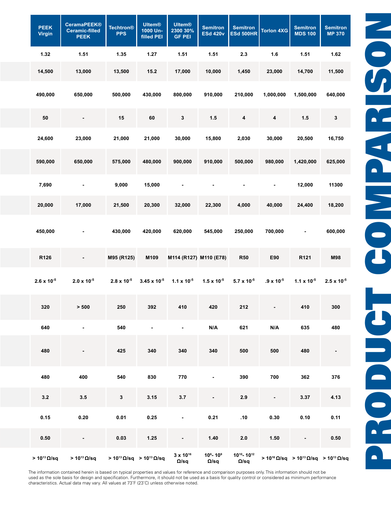| <b>PEEK</b><br>Virgin         | <b>CeramaPEEK®</b><br>Ceramic-filled<br><b>PEEK</b> | <b>Techtron®</b><br><b>PPS</b>    | <b>Ultem®</b><br>1000 Un-<br>filled PEI | <b>Ultem®</b><br>2300 30%<br><b>GF PEI</b> | <b>Semitron</b>                           | <b>Semitron</b><br><b>ESd 420v ESd 500HR</b> | Torlon 4XG              | <b>Semitron</b><br><b>MDS 100</b>                                                         | <b>Semitron</b><br><b>MP 370</b> |
|-------------------------------|-----------------------------------------------------|-----------------------------------|-----------------------------------------|--------------------------------------------|-------------------------------------------|----------------------------------------------|-------------------------|-------------------------------------------------------------------------------------------|----------------------------------|
| 1.32                          | 1.51                                                | 1.35                              | 1.27                                    | 1.51                                       | 1.51                                      | 2.3                                          | 1.6                     | 1.51                                                                                      | 1.62                             |
| 14,500                        | 13,000                                              | 13,500                            | 15.2                                    | 17,000                                     | 10,000                                    | 1,450                                        | 23,000                  | 14,700                                                                                    | 11,500                           |
| 490,000                       | 650,000                                             | 500,000                           | 430,000                                 | 800,000                                    | 910,000                                   | 210,000                                      | 1,000,000               | 1,500,000                                                                                 | 640,000                          |
| 50                            | $\overline{\phantom{0}}$                            | 15                                | 60                                      | -3                                         | $1.5$                                     | -4                                           | $\overline{\mathbf{4}}$ | 1.5                                                                                       | $\mathbf{3}$                     |
| 24,600                        | 23,000                                              | 21,000                            | 21,000                                  | 30,000                                     | 15,800                                    | 2,030                                        | 30,000                  | 20,500                                                                                    | 16,750                           |
| 590,000                       | 650,000                                             | 575,000                           | 480,000                                 | 900,000                                    | 910,000                                   | 500,000                                      | 980,000                 | 1,420,000                                                                                 | 625,000                          |
| 7,690                         | $\sim$                                              | 9,000                             | 15,000                                  | $\sim$                                     | $\sim$                                    | $\sim$                                       | $\sim$                  | 12,000                                                                                    | 11300                            |
| 20,000                        | 17,000                                              | 21,500                            | 20,300                                  | 32,000                                     | 22,300                                    | 4,000                                        | 40,000                  | 24,400                                                                                    | 18,200                           |
| 450,000                       | $\blacksquare$                                      | 430,000                           | 420,000                                 | 620,000                                    | 545,000                                   | 250,000                                      | 700,000                 | $\sim$                                                                                    | 600,000                          |
| R126                          | $\sim$                                              | M95 (R125)                        | M109                                    | M114 (R127) M110 (E78)                     |                                           | <b>R50</b>                                   | E90                     | R121                                                                                      | <b>M98</b>                       |
| $2.6 \times 10^{-5}$          | $2.0 \times 10^{-5}$                                | $2.8 \times 10^{-5}$              | $3.45 \times 10^{-5}$                   | 1.1 x 10 <sup>-5</sup>                     | $1.5 \times 10^{-5}$                      | $5.7 \times 10^{-5}$                         | $.9 \times 10^{-5}$     | $1.1 \times 10^{-5}$ 2.5 x 10 <sup>-5</sup>                                               |                                  |
| 320                           | $>500$                                              | 250                               | 392                                     | 410                                        | 420                                       | 212                                          |                         | 410                                                                                       | 300                              |
| 640                           | $\sim 100$                                          | 540                               | $\sim$                                  | $\sim$                                     | N/A                                       | 621                                          | N/A                     | 635                                                                                       | 480                              |
| 480                           | $\sim$                                              | 425                               | 340                                     | 340                                        | 340                                       | 500                                          | 500                     | 480                                                                                       | $\sim$ $-$                       |
| 480                           | 400                                                 | 540                               | 830                                     | 770                                        | $\sim$                                    | 390                                          | 700                     | 362                                                                                       | 376                              |
| 3.2                           | 3.5                                                 | $\mathbf{3}$                      | 3.15                                    | 3.7                                        | $\sim$                                    | 2.9                                          | $\sim$                  | 3.37                                                                                      | 4.13                             |
| 0.15                          | 0.20                                                | 0.01                              | 0.25                                    | $\sim$                                     | 0.21                                      | .10                                          | 0.30                    | 0.10                                                                                      | 0.11                             |
| 0.50                          | $\sim$ $-$                                          | 0.03                              | 1.25                                    | $\sim$                                     | 1.40                                      | 2.0                                          | 1.50                    | $\sim$                                                                                    | 0.50                             |
| $>10^{13}$ $\Omega/\text{sq}$ | $>10^{13}$ $\Omega/\text{sq}$                       | $> 10^{13} Ω/sq$ $> 10^{13} Ω/sq$ |                                         | 3 x 10 <sup>16</sup><br>Ω/sq               | 10 <sup>6</sup> - 10 <sup>9</sup><br>Ω/sq |                                              |                         | $10^{10-10^{12}}$ > 10 <sup>16</sup> Ω/sq > 10 <sup>13</sup> Ω/sq > 10 <sup>13</sup> Ω/sq |                                  |

The information contained herein is based on typical properties and values for reference and comparison purposes only. This information should not be used as the sole basis for design and specification. Furthermore, it should not be used as a basis for quality control or considered as minimum performance characteristics. Actual data may vary. All values at 73˚F (23˚C) unless otherwise noted.